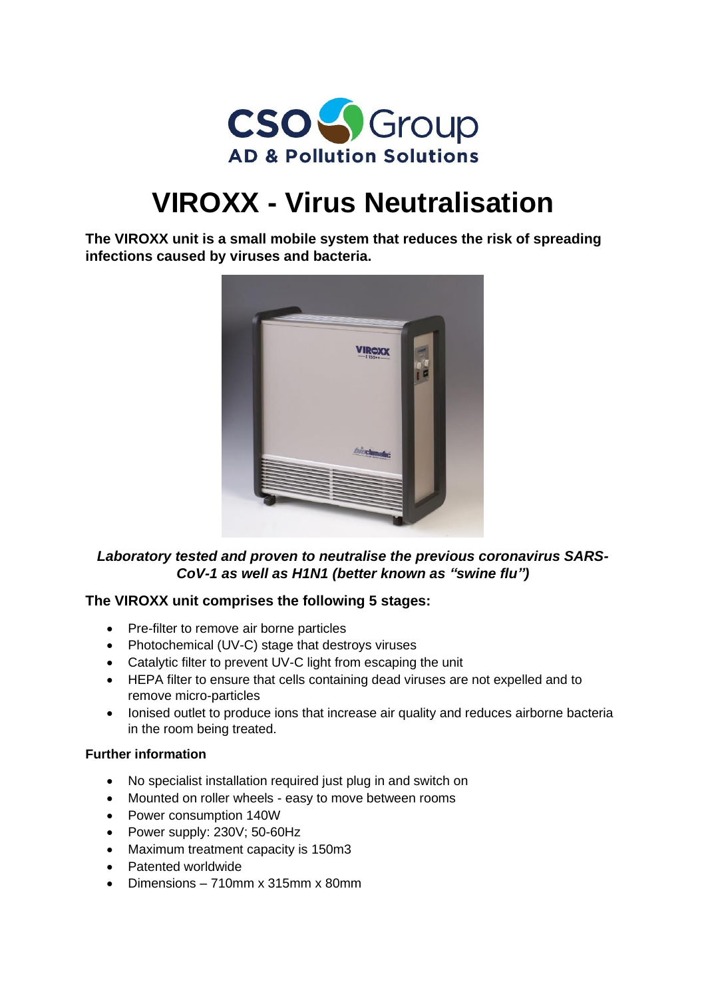

# **VIROXX - Virus Neutralisation**

**The VIROXX unit is a small mobile system that reduces the risk of spreading infections caused by viruses and bacteria.**



## *Laboratory tested and proven to neutralise the previous coronavirus SARS-CoV-1 as well as H1N1 (better known as "swine flu")*

### **The VIROXX unit comprises the following 5 stages:**

- Pre-filter to remove air borne particles
- Photochemical (UV-C) stage that destroys viruses
- Catalytic filter to prevent UV-C light from escaping the unit
- HEPA filter to ensure that cells containing dead viruses are not expelled and to remove micro-particles
- Ionised outlet to produce ions that increase air quality and reduces airborne bacteria in the room being treated.

#### **Further information**

- No specialist installation required just plug in and switch on
- Mounted on roller wheels easy to move between rooms
- Power consumption 140W
- Power supply: 230V; 50-60Hz
- Maximum treatment capacity is 150m3
- Patented worldwide
- Dimensions 710mm x 315mm x 80mm